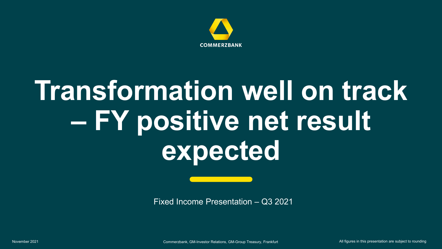

# **Transformation well on track – FY positive net result expected**

Fixed Income Presentation – Q3 2021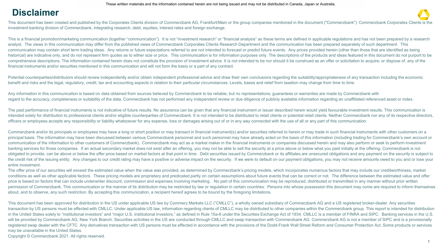These written materials and the information contained herein are not being issued and may not be distributed in Canada, Japan or Australia.

### **Disclaimer**

This document has been created and published by the Corporates Clients division of Commerzbank AG, Frankfurt/Main or the group companies mentioned in the document ("Commerzbank"). Commerzbank Corporates Clients is the investment banking division of Commerzbank, integrating research, debt, equities, interest rates and foreign exchange.

This is a financial promotion/marketing communication (together "communication"). It is not "investment research" or "financial analysis" as these terms are defined in applicable regulations and has not been prepared by a analyst. The views in this communication may differ from the published views of Commerzbank Corporates Clients Research Department and the communication has been prepared separately of such department. This communication may contain short term trading ideas. Any returns or future expectations referred to are not intended to forecast or predict future events. Any prices provided herein (other than those that are identified as historical) are indicative only, and do not represent firm quotes as to either size or price. This communication is for information purposes only. The descriptions of the products and ideas featured in this document do not comprehensive descriptions. The information contained herein does not constitute the provision of investment advice. It is not intended to be nor should it be construed as an offer or solicitation to acquire, or dispose of financial instruments and/or securities mentioned in this communication and will not form the basis or a part of any contract.

Potential counterparties/distributors should review independently and/or obtain independent professional advice and draw their own conclusions regarding the suitability/appropriateness of any transaction including the econ benefit and risks and the legal, regulatory, credit, tax and accounting aspects in relation to their particular circumstances. Levels, bases and relief from taxation may change from time to time.

Any information in this communication is based on data obtained from sources believed by Commerzbank to be reliable, but no representations, quarantees or warranties are made by Commerzbank with regard to the accuracy, completeness or suitability of the data. Commerzbank has not performed any independent review or due diligence of publicly available information regarding an unaffiliated referenced asset or index.

The past performance of financial instruments is not indicative of future results. No assurance can be given that any financial instrument or issuer described herein would yield favourable investment results. This communic intended solely for distribution to professional clients and/or eligible counterparties of Commerzbank. It is not intended to be distributed to retail clients or potential retail clients. Neither Commerzbank nor any of its officers or employees accepts any responsibility or liability whatsoever for any expense, loss or damages arising out of or in any way connected with the use of all or any part of this communication.

Commerzbank and/or its principals or employees may have a long or short position or may transact in financial instrument(s) and/or securities referred to herein or may trade in such financial instruments with other custome principal basis. The information may have been discussed between various Commerzbank personnel and such personnel may have already acted on the basis of this information (including trading for Commerzbank's own account or communication of the information to other customers of Commerzbank). Commerzbank may act as a market maker in the financial instruments or companies discussed herein and may also perform or seek to perform investment banking services for those companies. If an actual secondary market does not exist after an offering, you may not be able to sell the security at a price above or below what you paid initially at the offering. Commerzbank obligated to provide, can be above or below the offer price based on market factors at that point in time. Debt securities issued by Commerzbank or its affiliates are unsecured obligations and any payment on the security i the credit risk of the issuing entity. Any changes to our credit rating may have a positive or adverse impact on the security. If we were to default on our payment obligations, you may not receive amounts owed to you and o entire investment.

The offer price of our securities will exceed the estimated value when the value was provided, as determined by Commerzbank's pricing models, which incorporates numerous factors that may include our creditworthiness, marke conditions as well as other applicable factors. These pricing models are proprietary and predicated partly on certain assumptions about future events that can be correct or not. The difference between the estimated value a price is based on factors that can include underwriter discount, commission and expenses involving marketing. No part of this communication may be reproduced, distributed or transmitted in any manner without prior written permission of Commerzbank. This communication or the manner of its distribution may be restricted by law or regulation in certain countries. Persons into whose possession this document may come are required to inform thems about, and to observe, any such restriction. By accepting this communication, a recipient hereof agrees to be bound by the foregoing limitations.

This document has been approved for distribution in the US under applicable US law by Commerz Markets LLC ("CMLLC"), a wholly owned subsidiary of Commerzbank AG and a US registered broker-dealer. Any securities transaction by US persons must be effected with CMLLC. Under applicable US law, information regarding clients of CMLLC may be distributed to other companies within the Commerzbank group. This report is intended for distrib in the United States solely to "institutional investors" and "major U.S. institutional investors," as defined in Rule 15a-6 under the Securities Exchange Act of 1934. CMLLC is a member of FINRA and SIPC. Banking services i will be provided by Commerzbank AG, New York Branch. Securities activities in the US are conducted through CMLLC and swap transaction with Commerzbank AG. Commerzbank AG is not a member of SIPC and is a provisionally registered swap dealer with the CFTC. Any derivatives transaction with US persons must be effected in accordance with the provisions of the Dodd-Frank Wall Street Reform and Consumer Protection Act. Some products or services may be unavailable in the United States.

Copyright © Commerzbank 2021. All rights reserved.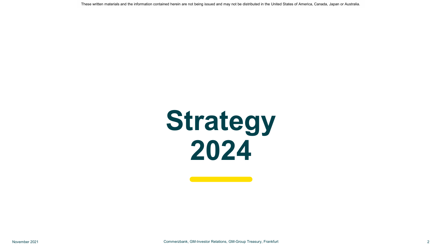# **Strategy 2024**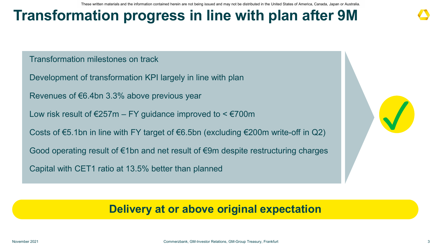# **Transformation progress in line with plan after 9M**

Transformation milestones on track

Development of transformation KPI largely in line with plan

Revenues of €6.4bn 3.3% above previous year

Low risk result of  $E257m - FY$  guidance improved to  $\leq E700m$ 

Costs of €5.1bn in line with FY target of €6.5bn (excluding €200m write-off in Q2)

Good operating result of €1bn and net result of €9m despite restructuring charges

Capital with CET1 ratio at 13.5% better than planned

### **Delivery at or above original expectation**

✓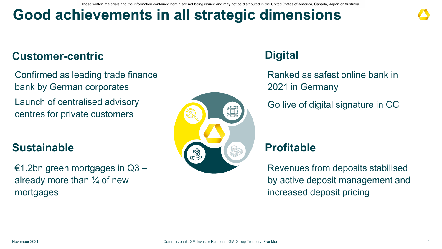### **Good achievements in all strategic dimensions**

### **Customer-centric Digital**

Confirmed as leading trade finance bank by German corporates Launch of centralised advisory centres for private customers

€1.2bn green mortgages in Q3 – already more than  $\frac{1}{4}$  of new mortgages



Ranked as safest online bank in 2021 in Germany

Go live of digital signature in CC

Revenues from deposits stabilised by active deposit management and increased deposit pricing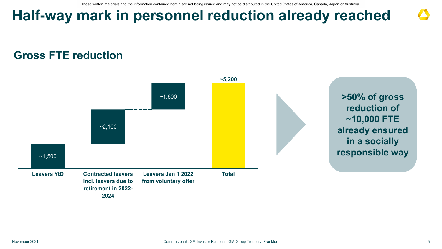# **Half-way mark in personnel reduction already reached**

**Gross FTE reduction**

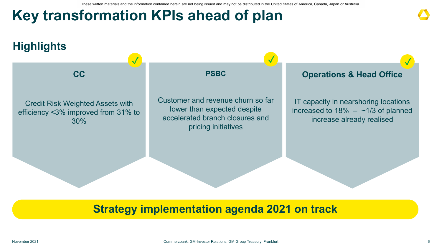# **Key transformation KPIs ahead of plan**



#### **PSBC** Customer and revenue churn so far lower than expected despite accelerated branch closures and pricing initiatives **CC** Credit Risk Weighted Assets with efficiency <3% improved from 31% to 30% ✓ ✓ ✓

### **Operations & Head Office**

IT capacity in nearshoring locations increased to  $18\% - \frac{1}{3}$  of planned increase already realised

### **Strategy implementation agenda 2021 on track**

**Highlights**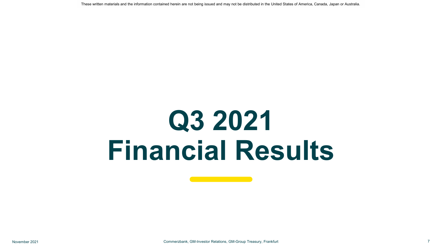# **Q3 2021 Financial Results**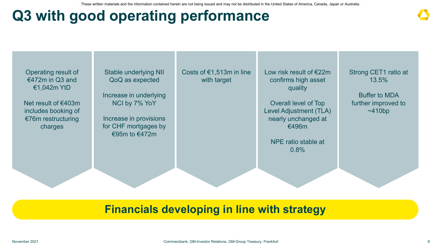# **Q3 with good operating performance**

Operating result of €472m in Q3 and €1,042m YtD

Net result of €403m includes booking of €76m restructuring charges

Stable underlying NII QoQ as expected

Increase in underlying NCI by 7% YoY

Increase in provisions for CHF mortgages by €95m to €472m

Costs of €1,513m in line with target

Low risk result of €22m confirms high asset quality

Overall level of Top Level Adjustment (TLA) nearly unchanged at €496m

> NPE ratio stable at 0.8%

Strong CET1 ratio at 13.5%

Buffer to MDA further improved to  $~10bp$ 

### **Financials developing in line with strategy**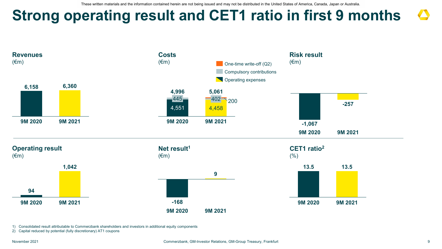# **Strong operating result and CET1 ratio in first 9 months**



1) Consolidated result attributable to Commerzbank shareholders and investors in additional equity components

2) Capital reduced by potential (fully discretionary) AT1 coupons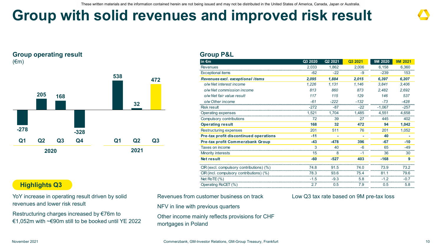### **Group with solid revenues and improved risk result**

#### **Group operating result** (€m)



#### **Group P&L**

| in $\epsilon$ m                          | Q3 2020 | Q2 2021 | Q3 2021 | 9M 2020  | <b>9M 2021</b> |
|------------------------------------------|---------|---------|---------|----------|----------------|
| <b>Revenues</b>                          | 2,033   | 1,862   | 2,006   | 6,158    | 6,360          |
| <b>Exceptional items</b>                 | $-62$   | $-22$   | $-9$    | $-239$   | 153            |
| Revenues excl. exceptional items         | 2,095   | 1,884   | 2,015   | 6,397    | 6,207          |
| o/w Net interest income                  | 1,226   | 1.131   | 1.146   | 3.841    | 3,406          |
| o/w Net commission income                | 813     | 860     | 873     | 2.482    | 2,692          |
| o/w Net fair value result                | 117     | 115     | 129     | 146      | 537            |
| o/w Other income                         | $-61$   | $-222$  | $-132$  | $-73$    | $-428$         |
| <b>Risk result</b>                       | $-272$  | $-87$   | $-22$   | $-1.067$ | $-257$         |
| Operating expenses                       | 1,521   | 1.704   | 1,485   | 4.551    | 4.658          |
| Compulsory contributions                 | 72      | 39      | 27      | 445      | 402            |
| <b>Operating result</b>                  | 168     | 32      | 472     | 94       | 1,042          |
| Restructuring expenses                   | 201     | 511     | 76      | 201      | 1,052          |
| Pre-tax profit discontinued operations   | $-11$   |         |         | 40       |                |
| Pre-tax profit Commerzbank Group         | $-43$   | $-478$  | 396     | $-67$    | $-10$          |
| Taxes on income                          | 3       | 40      | $-6$    | 65       | $-49$          |
| Minority interests                       | 15      | 8       | $-1$    | 36       | 30             |
| <b>Net result</b>                        | $-60$   | $-527$  | 403     | $-168$   | 9              |
| CIR (excl. compulsory contributions) (%) | 74.8    | 91.5    | 74 O    | 73.9     | 73.2           |
| CIR (incl. compulsory contributions) (%) | 78.3    | 93.6    | 75.4    | 81.1     | 79.6           |
| Net RoTE $(\% )$                         | -1.5    | $-9.3$  | 5.8     | $-1.2$   | $-0.7$         |
| Operating RoCET (%)                      | 2.7     | 0.5     | 7.9     | 0.5      | 5.8            |

#### **Highlights Q3**

YoY increase in operating result driven by solid revenues and lower risk result

Restructuring charges increased by €76m to €1,052m with ~€90m still to be booked until YE 2022 Revenues from customer business on track

NFV in line with previous quarters

Other income mainly reflects provisions for CHF mortgages in Poland

#### Low Q3 tax rate based on 9M pre-tax loss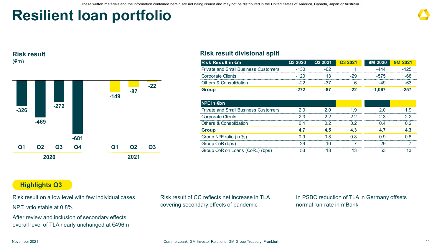## **Resilient loan portfolio**

#### **Risk result**  $(\epsilon m)$



#### **Risk result divisional split**

| <b>Risk Result in €m</b>                    | Q3 2020 | Q <sub>2</sub> 2021 | Q3 2021 | <b>9M 2020</b> | <b>9M 2021</b> |
|---------------------------------------------|---------|---------------------|---------|----------------|----------------|
| <b>Private and Small Business Customers</b> | $-130$  | $-62$               |         | -444           | $-125$         |
| <b>Corporate Clients</b>                    | $-120$  | 13                  | $-29$   | -575           | -68            |
| <b>Others &amp; Consolidation</b>           | $-22$   | -37                 | 6       | -49            | -63            |
| <b>Group</b>                                | $-272$  | -87                 | $-22$   | $-1,067$       | $-257$         |
| NPE in €bn                                  |         |                     |         |                |                |
| <b>Private and Small Business Customers</b> | 20      | 20                  | 19      | 20             | 19             |
| <b>Corporate Clients</b>                    | 2.3     | 22                  | 22      | 2.3            | 22             |
| <b>Others &amp; Consolidation</b>           | 04      | 0 <sup>2</sup>      | 02      | 04             | 0.2            |
| <b>Group</b>                                | 4.7     | 4.5                 | 4.3     | 4.7            | 4.3            |
| Group NPE ratio (in %)                      | 0 9     | 0 8                 | 0 8     | 0 9            | 08             |
| Group CoR (bps)                             | 29      | 10                  |         | 29             |                |
| Group CoR on Loans (CoRL) (bps)             | 53      | 18                  | 13      | 53             | 13             |

#### **Highlights Q3**

Risk result on a low level with few individual cases NPE ratio stable at 0.8%

After review and inclusion of secondary effects, overall level of TLA nearly unchanged at €496m

Risk result of CC reflects net increase in TLA covering secondary effects of pandemic

In PSBC reduction of TLA in Germany offsets normal run-rate in mBank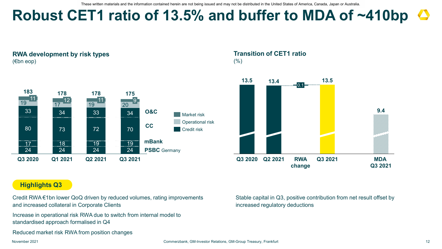### **Robust CET1 ratio of 13.5% and buffer to MDA of ~410bp**

#### **RWA development by risk types** (€bn eop)



#### **Transition of CET1 ratio**  $(% )$



#### **Highlights Q3**

Credit RWA €1bn lower QoQ driven by reduced volumes, rating improvements and increased collateral in Corporate Clients

Increase in operational risk RWA due to switch from internal model to standardised approach formalised in Q4

Reduced market risk RWA from position changes

#### November 2021 Commerzbank, GM-Investor Relations, GM-Group Treasury, Frankfurt

Stable capital in Q3, positive contribution from net result offset by increased regulatory deductions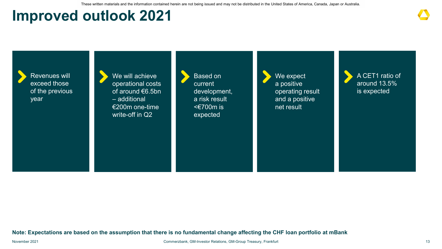### **Improved outlook 2021**

Revenues will exceed those of the previous year

We will achieve operational costs of around €6.5bn – additional €200m one-time write-off in Q2

Based on current development, a risk result <€700m is expected

We expect a positive operating result and a positive net result

A CET1 ratio of around 13.5% is expected

**Note: Expectations are based on the assumption that there is no fundamental change affecting the CHF loan portfolio at mBank**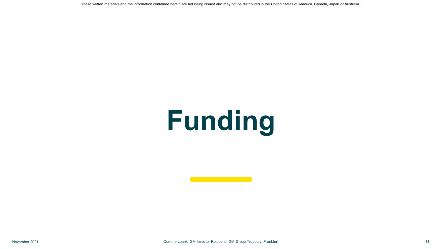# **Funding**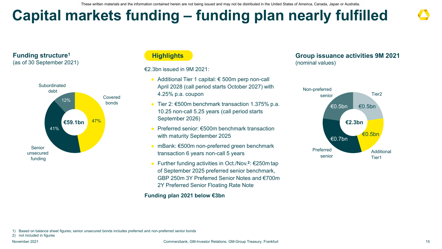# **Capital markets funding – funding plan nearly fulfilled**



#### **Funding structure1** (as of 30 September 2021)



#### **Highlights**

€2.3bn issued in 9M 2021:

- Additional Tier 1 capital:  $€$  500m perp non-call April 2028 (call period starts October 2027) with 4.25% p.a. coupon
- Tier 2:  $€500m$  benchmark transaction 1.375% p.a. 10.25 non-call 5.25 years (call period starts September 2026)
- **Preferred senior: €500m benchmark transaction** with maturity September 2025
- mBank: €500m non-preferred green benchmark transaction 6 years non-call 5 years
- Further funding activities in Oct./Nov.**<sup>2</sup>**: €250m tap of September 2025 preferred senior benchmark, GBP 250m 3Y Preferred Senior Notes and €700m 2Y Preferred Senior Floating Rate Note

#### **Funding plan 2021 below €3bn**

#### **Group issuance activities 9M 2021** (nominal values)



1) Based on balance sheet figures; senior unsecured bonds includes preferred and non-preferred senior bonds

2) not included in figures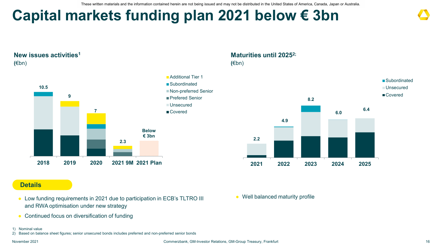# **Capital markets funding plan 2021 below € 3bn**

**New issues activities1 (**€bn)



#### **Details**

- Low funding requirements in 2021 due to participation in ECB's TLTRO III and RWA optimisation under new strategy
- Continued focus on diversification of funding
- 1) Nominal value
- 2) Based on balance sheet figures; senior unsecured bonds includes preferred and non-preferred senior bonds

#### November 2021

Commerzbank, GM-Investor Relations, GM-Group Treasury, Frankfurt 16

#### **Maturities until 20252;**





● Well balanced maturity profile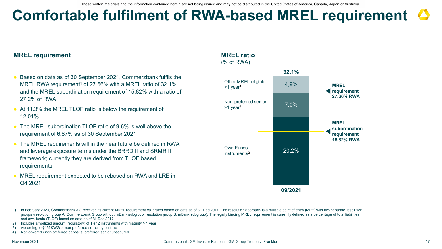### **Comfortable fulfilment of RWA-based MREL requirement**

#### **MREL requirement**

- Based on data as of 30 September 2021, Commerzbank fulfils the MREL RWA requirement<sup>1</sup> of 27.66% with a MREL ratio of 32.1% and the MREL subordination requirement of 15.82% with a ratio of 27.2% of RWA
- At 11.3% the MREL TLOF ratio is below the requirement of 12.01%
- The MRFL subordination TLOF ratio of 9.6% is well above the requirement of 6.87% as of 30 September 2021
- The MREL requirements will in the near future be defined in RWA and leverage exposure terms under the BRRD II and SRMR II framework; currently they are derived from TLOF based requirements
- MREL requirement expected to be rebased on RWA and LRE in Q4 2021



- 1) In February 2020, Commerzbank AG received its current MREL requirement calibrated based on data as of 31 Dec 2017. The resolution approach is a multiple point of entry (MPE) with two separate resolution groups (resolution group A: Commerzbank Group without mBank subgroup; resolution group B: mBank subgroup). The legally binding MREL requirement is currently defined as a percentage of total liabilities and own funds (TLOF) based on data as of 31 Dec 2017.
- 2) Includes amortized amount (regulatory) of Tier 2 instruments with maturity > 1 year
- 3) According to §46f KWG or non-preferred senior by contract
- 4) Non-covered / non-preferred deposits; preferred senior unsecured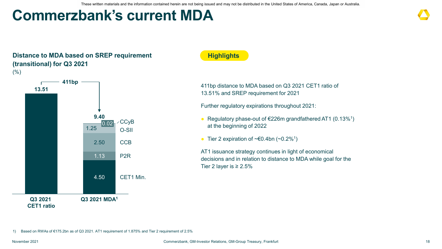### **Commerzbank's current MDA**

#### **Distance to MDA based on SREP requirement (transitional) for Q3 2021**   $(% )$



### **Highlights**

13.51% and SREP requirement for 2021

Further regulatory expirations throughout 2021:

- Regulatory phase-out of  $€226m$  grandfathered AT1 (0.13%<sup>1</sup>) at the beginning of 2022
- Tier 2 expiration of  $\sim \epsilon$ 0.4bn (~0.2%<sup>1</sup>)

AT1 issuance strategy continues in light of economical decisions and in relation to distance to MDA while goal for the Tier 2 layer is ≥ 2.5%

1) Based on RWAs of €175.2bn as of Q3 2021. AT1 requirement of 1.875% and Tier 2 requirement of 2.5%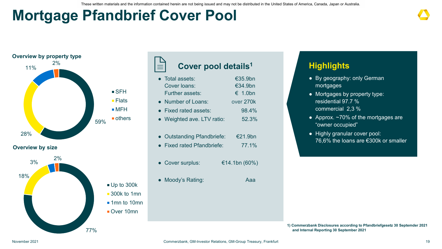# **Mortgage Pfandbrief Cover Pool**





**Overview by size**



| Cover pool details <sup>1</sup>    |               |
|------------------------------------|---------------|
| Total assets:                      | €35.9bn       |
| Cover loans:                       | €34.9bn       |
| <b>Further assets:</b>             | € 1.0bn       |
| • Number of Loans:                 | over 270k     |
| $\bullet\,$ Fixed rated assets:    | 98.4%         |
| • Weighted ave. LTV ratio:         | 52.3%         |
| $\bullet$ Outstanding Pfandbriefe: | €21.9bn       |
| <b>Fixed rated Pfandbriefe:</b>    | 77.1%         |
| • Cover surplus:                   | €14.1bn (60%) |
| Moody's Rating:                    | Ааа           |
|                                    |               |
|                                    |               |

### **Highlights**

- By geography: only German mortgages
- Mortgages by property type: residential 97.7 % commercial 2,3 %
- Approx. ~70% of the mortgages are "owner occupied"
- Highly granular cover pool: 76,6% the loans are €300k or smaller

**1) Commerzbank Disclosures according to Pfandbriefgesetz 30 Septemder 2021 and Internal Reporting 30 September 2021**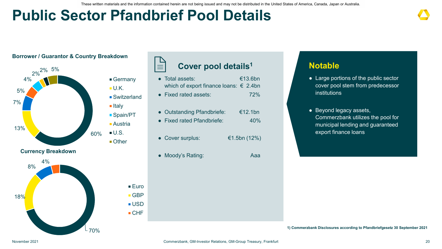### **Public Sector Pfandbrief Pool Details**

 $Euro$ ■ GBP USD CHF





70%

### **Cover pool details1**

| $\bullet$ Total assets:                         | €13.6bn |
|-------------------------------------------------|---------|
| which of export finance loans: $\epsilon$ 2.4bn |         |
| $\bullet$ Fixed rated assets:                   | 72%     |
| • Outstanding Pfandbriefe:                      | €12.1bn |
| • Fixed rated Pfandbriefe:                      | 40%     |
|                                                 |         |

- Cover surplus:  $\epsilon$ 1.5bn (12%)
- Moody's Rating: Aaa

#### **Notable**

- Large portions of the public sector cover pool stem from predecessor institutions
- Beyond legacy assets, Commerzbank utilizes the pool for municipal lending and guaranteed export finance loans

**1) Commerzbank Disclosures according to Pfandbriefgesetz 30 September 2021**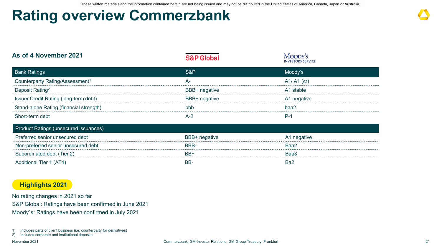### **Rating overview Commerzbank**

| As of 4 November 2021                        | <b>S&amp;P Global</b> | MOODY'S<br><b>INVESTORS SERVICE</b> |  |
|----------------------------------------------|-----------------------|-------------------------------------|--|
| <b>Bank Ratings</b>                          | S&P                   | Moody's                             |  |
| Counterparty Rating/Assessment <sup>1</sup>  | $A -$                 | $A1/ A1$ (cr)                       |  |
| Deposit Rating <sup>2</sup>                  | BBB+ negative         | A1 stable                           |  |
| Issuer Credit Rating (long-term debt)        | BBB+ negative         | A1 negative                         |  |
| Stand-alone Rating (financial strength)      | bbb                   | baa2                                |  |
| Short-term debt                              | $A-2$                 | $P-1$                               |  |
| <b>Product Ratings (unsecured issuances)</b> |                       |                                     |  |
| Preferred senior unsecured debt              | BBB+ negative         | A1 negative                         |  |
| Non-preferred senior unsecured debt          | BBB-                  | Baa2                                |  |
| Subordinated debt (Tier 2)                   | BB+                   | Baa3                                |  |

Additional Tier 1 (AT1) Ba2

#### **Highlights 2021**

No rating changes in 2021 so far S&P Global: Ratings have been confirmed in June 2021 Moody´s: Ratings have been confirmed in July 2021

1) Includes parts of client business (i.e. counterparty for derivatives)

2) Includes corporate and institutional deposits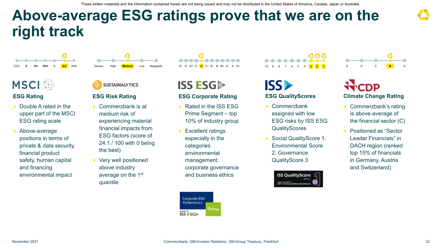### **Above-average ESG ratings prove that we are on the right track**



### **MSCI**

#### **ESG Rating**

- Double A rated in the upper part of the MSCI ESG rating scale
- Above-average positions in terms of private & data security, financial product safety, human capital and financing environmental impact



◔

**SUSTAINALYTICS** 

#### **ESG Risk Rating**

- Commerzbank is at medium risk of experiencing material financial impacts from ESG factors (score of 24.1 / 100 with 0 being the best)
- Very well positioned above industry average on the 1st quantile

**ISS ESGD** 

#### **ESG Corporate Rating**

- Rated in the ISS ESG Prime Segment – top 10% of industry group
- **Excellent ratings** especially in the categories environmental management, corporate governance and business ethics

Corporate E5G Performance Prime **MEDET**<br>ISS ESGI>

ISS)

#### **ESG QualityScores**

10 9 8 7 6 5 4 **3 1**

888

- Commerzbank assigned with low ESG risks by ISS ESG **QualityScores**
- Social QualityScore 1, Environmental Score 2, Governance QualityScore 3



E D C **B** A

#### **Climate Change Rating**

- Commerzbank's rating is above-average of the financial sector (C)
- **Positioned as "Sector** Leader Financials" in DACH region (ranked top 15% of financials in Germany, Austria and Switzerland)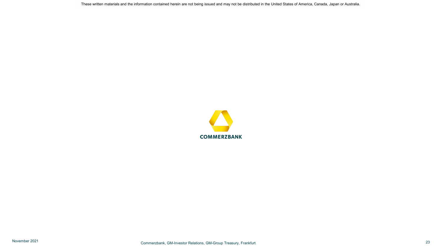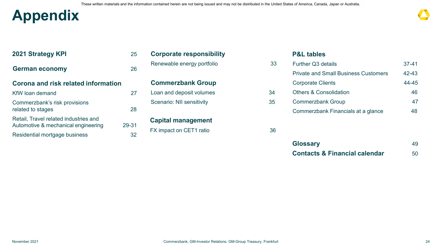# **Appendix**

| 2021 Strategy KPI                                                            | 25    |
|------------------------------------------------------------------------------|-------|
| <b>German economy</b>                                                        | 26    |
| Corona and risk related information                                          |       |
| KfW loan demand                                                              | 27    |
| Commerzbank's risk provisions<br>related to stages                           | 28    |
| Retail, Travel related industries and<br>Automotive & mechanical engineering | 29-31 |
| Residential mortgage business                                                | 32    |

| <b>Corporate responsibility</b> |    |
|---------------------------------|----|
| Renewable energy portfolio      | 33 |
| <b>Commerzbank Group</b>        |    |
| Loan and deposit volumes        | 34 |
| Scenario: NII sensitivity       | 35 |
|                                 |    |

**Capital management** FX impact on CET1 ratio 36

#### **P&L tables**

| <b>Private and Small Business Customers</b><br><b>Corporate Clients</b><br><b>Others &amp; Consolidation</b><br><b>Commerzbank Group</b><br>Commerzbank Financials at a glance | <b>Further Q3 details</b> | $37 - 41$ |
|--------------------------------------------------------------------------------------------------------------------------------------------------------------------------------|---------------------------|-----------|
|                                                                                                                                                                                |                           | 42-43     |
|                                                                                                                                                                                |                           | 44-45     |
|                                                                                                                                                                                |                           | 46        |
|                                                                                                                                                                                |                           | 47        |
|                                                                                                                                                                                |                           | 48        |

| <b>Glossary</b>                          | 49 |
|------------------------------------------|----|
| <b>Contacts &amp; Financial calendar</b> | 50 |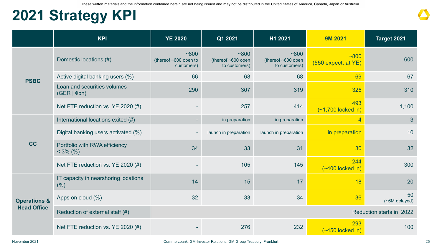# **2021 Strategy KPI**

|                         | <b>KPI</b>                                        | <b>YE 2020</b>                                | Q1 2021                                     | H1 2021                                     | <b>9M 2021</b>              | Target 2021              |
|-------------------------|---------------------------------------------------|-----------------------------------------------|---------------------------------------------|---------------------------------------------|-----------------------------|--------------------------|
|                         | Domestic locations (#)                            | ~800<br>(thereof $~600$ open to<br>customers) | ~800<br>(thereof ~600 open<br>to customers) | ~800<br>(thereof ~600 open<br>to customers) | ~800<br>(550 expect. at YE) | 600                      |
| <b>PSBC</b>             | Active digital banking users (%)                  | 66                                            | 68                                          | 68                                          | 69                          | 67                       |
|                         | Loan and securities volumes<br>$(GER   \epsilon)$ | 290                                           | 307                                         | 319                                         | 325                         | 310                      |
|                         | Net FTE reduction vs. YE 2020 (#)                 |                                               | 257                                         | 414                                         | 493<br>$(-1,700$ locked in) | 1,100                    |
|                         | International locations exited (#)                |                                               | in preparation                              | in preparation                              | $\overline{4}$              | $\mathbf{3}$             |
|                         | Digital banking users activated (%)               |                                               | launch in preparation                       | launch in preparation                       | in preparation              | 10                       |
| <b>CC</b>               | Portfolio with RWA efficiency<br>$<$ 3% (%)       | 34                                            | 33                                          | 31                                          | 30                          | 32                       |
|                         | Net FTE reduction vs. YE 2020 (#)                 |                                               | 105                                         | 145                                         | 244<br>$(*400$ locked in)   | 300                      |
| <b>Operations &amp;</b> | IT capacity in nearshoring locations<br>(% )      | 14                                            | 15                                          | 17                                          | 18                          | 20                       |
|                         | Apps on cloud (%)                                 | 32                                            | 33                                          | 34                                          | 36                          | 50<br>(~6M delayed)      |
| <b>Head Office</b>      | Reduction of external staff (#)                   |                                               |                                             |                                             |                             | Reduction starts in 2022 |
|                         | Net FTE reduction vs. YE 2020 (#)                 |                                               | 276                                         | 232                                         | 293<br>$(-450$ locked in)   | 100                      |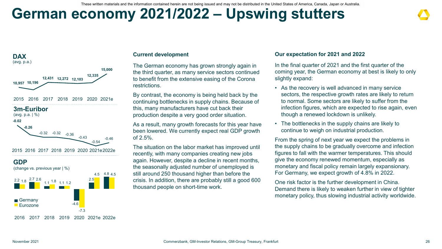### **German economy 2021/2022 – Upswing stutters**





#### **Current development**

The German economy has grown strongly again in the third quarter, as many service sectors continued to benefit from the extensive easing of the Corona restrictions.

By contrast, the economy is being held back by the continuing bottlenecks in supply chains. Because of this, many manufacturers have cut back their production despite a very good order situation.

As a result, many growth forecasts for this year have been lowered. We currently expect real GDP growth of 2.5%.

The situation on the labor market has improved until recently, with many companies creating new jobs again. However, despite a decline in recent months, the seasonally adjusted number of unemployed is still around 250 thousand higher than before the crisis. In addition, there are probably still a good 600 thousand people on short-time work.

#### **Our expectation for 2021 and 2022**

In the final quarter of 2021 and the first quarter of the coming year, the German economy at best is likely to only slightly expand:

- As the recovery is well advanced in many service sectors, the respective growth rates are likely to return to normal. Some sectors are likely to suffer from the infection figures, which are expected to rise again, even though a renewed lockdown is unlikely.
- The bottlenecks in the supply chains are likely to continue to weigh on industrial production.

From the spring of next year we expect the problems in the supply chains to be gradually overcome and infection figures to fall with the warmer temperatures. This should give the economy renewed momentum, especially as monetary and fiscal policy remain largely expansionary. For Germany, we expect growth of 4.8% in 2022.

One risk factor is the further development in China. Demand there is likely to weaken further in view of tighter monetary policy, thus slowing industrial activity worldwide.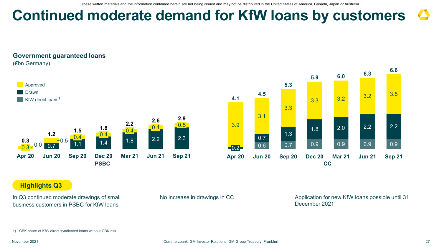### **Continued moderate demand for KfW loans by customers**

#### **Government guaranteed loans**

(€bn Germany)





#### **Highlights Q3**

In Q3 continued moderate drawings of small business customers in PSBC for KfW loans

No increase in drawings in CC Application for new KfW loans possible until 31 December 2021

1) CBK share of KfW direct syndicated loans without CBK risk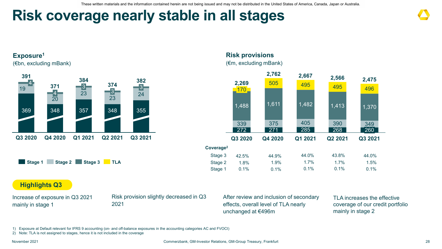### **Risk coverage nearly stable in all stages**

#### **Exposure1**

(€bn, excluding mBank)



#### **Risk provisions**



#### (€m, excluding mBank)

#### **Highlights Q3**

Increase of exposure in Q3 2021 mainly in stage 1

Risk provision slightly decreased in Q3 2021

After review and inclusion of secondary effects, overall level of TLA nearly unchanged at €496m

TLA increases the effective coverage of our credit portfolio mainly in stage 2

1) Exposure at Default relevant for IFRS 9 accounting (on- and off-balance exposures in the accounting categories AC and FVOCI)

2) Note: TLA is not assigned to stages, hence it is not included in the coverage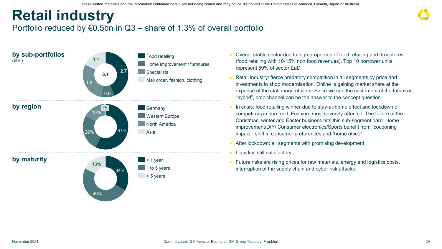# **Retail industry**

### Portfolio reduced by  $\epsilon$ 0.5bn in Q3 – share of 1.3% of overall portfolio

| by sub-portfolios<br>$(\epsilon$ bn) | 1.1<br>2.7<br>6.1<br>1.8<br>0.6 | Food retailing<br>Home improvement / furnitures<br>Specialists<br>Mail order, fashion, clothing |
|--------------------------------------|---------------------------------|-------------------------------------------------------------------------------------------------|
| by region                            | $1\%$<br>16%<br>57%<br>26%      | Germany<br><b>Western Europe</b><br><b>North America</b><br>Asia                                |
| by maturity                          | 18%<br>34%<br>49%               | < 1 year<br>1 to 5 years<br>> 5 years                                                           |

- Overall stable sector due to high proportion of food retailing and drugstores (food retailing with 10-15% non food revenues). Top 10 borrower units represent 59% of sector EaD
- Retail industry: fierce predatory competition in all segments by price and investments in shop modernisation. Online is gaining market share at the expense of the stationary retailers. Since we see the customers of the future as "hybrid", omnichannel can be the answer to the concept question
- In crisis: food retailing winner due to stay-at-home effect and lockdown of competitors in non food. Fashion: most severely affected. The failure of the Christmas, winter and Easter business hits this sub-segment hard. Home improvement/DIY/ Consumer electronics/Sports benefit from "cocooning impact", shift in consumer preferences and "home office"
- After lockdown: all segments with promising development
- Liquidity: still satisfactory
- Future risks are rising prices for raw materials, energy and logistics costs, interruption of the supply chain and cyber risk attacks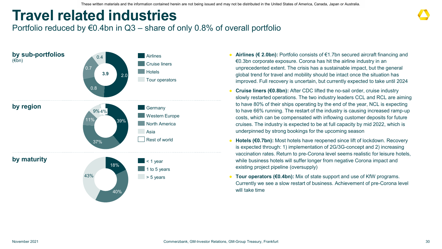### **Travel related industries**

Portfolio reduced by  $\epsilon$ 0.4bn in Q3 – share of only 0.8% of overall portfolio



- **Airlines (€ 2.0bn):** Portfolio consists of €1.7bn secured aircraft financing and €0.3bn corporate exposure. Corona has hit the airline industry in an unprecedented extent. The crisis has a sustainable impact, but the general global trend for travel and mobility should be intact once the situation has improved. Full recovery is uncertain, but currently expected to take until 2024
- Cruise liners (€0.8bn): After CDC lifted the no-sail order, cruise industry slowly restarted operations. The two industry leaders CCL and RCL are aiming to have 80% of their ships operating by the end of the year, NCL is expecting to have 66% running. The restart of the industry is causing increased ramp-up costs, which can be compensated with inflowing customer deposits for future cruises. The industry is expected to be at full capacity by mid 2022, which is underpinned by strong bookings for the upcoming season
- **Hotels (€0.7bn):** Most hotels have reopened since lift of lockdown. Recovery is expected through: 1) implementation of 2G/3G-concept and 2) increasing vaccination rates. Return to pre-Corona level seems realistic for leisure hotels, while business hotels will suffer longer from negative Corona impact and existing project pipeline (oversupply)
- Tour operators (€0.4bn): Mix of state support and use of KfW programs. Currently we see a slow restart of business. Achievement of pre-Corona level will take time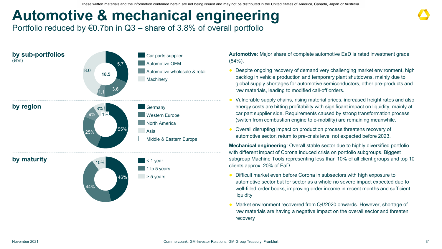### **Automotive & mechanical engineering** Portfolio reduced by  $\epsilon$ 0.7bn in Q3 – share of 3.8% of overall portfolio

5.7  $1.1$  3.6 8.0 **by sub-portfolios** (€bn) **by region by maturity 18.5** 46% 44% 10% 1 to 5 years < 1 year > 5 years Car parts supplier Automotive OEM Automotive wholesale & retail **Machinery** 9% 8% 25% 55% 1% **Germany** Western Europe North America Asia Middle & Eastern Europe

**Automotive**: Major share of complete automotive EaD is rated investment grade (84%).

- Despite ongoing recovery of demand very challenging market environment, high backlog in vehicle production and temporary plant shutdowns, mainly due to global supply shortages for automotive semiconductors, other pre-products and raw materials, leading to modified call-off orders.
- Vulnerable supply chains, rising material prices, increased freight rates and also energy costs are hitting profitability with significant impact on liquidity, mainly at car part supplier side. Requirements caused by strong transformation process (switch from combustion engine to e-mobility) are remaining meanwhile.
- Overall disrupting impact on production process threatens recovery of automotive sector, return to pre-crisis level not expected before 2023.

**Mechanical engineering**: Overall stable sector due to highly diversified portfolio with different impact of Corona induced crisis on portfolio subgroups. Biggest subgroup Machine Tools representing less than 10% of all client groups and top 10 clients approx. 20% of EaD

- Difficult market even before Corona in subsectors with high exposure to automotive sector but for sector as a whole no severe impact expected due to well-filled order books, improving order income in recent months and sufficient liquidity
- Market environment recovered from Q4/2020 onwards. However, shortage of raw materials are having a negative impact on the overall sector and threaten recovery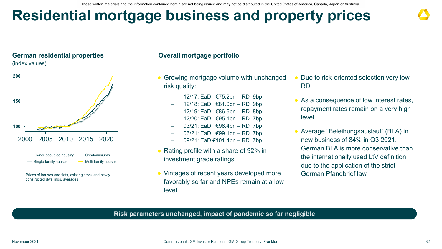# **Residential mortgage business and property prices**

### **German residential properties**

(index values)



Prices of houses and flats, existing stock and newly constructed dwellings, averages

#### **Overall mortgage portfolio**

- Growing mortgage volume with unchanged risk quality:
	- − 12/17: EaD €75.2bn RD 9bp
	- − 12/18: EaD €81.0bn RD 9bp
	- − 12/19: EaD €86.6bn RD 8bp
	- − 12/20: EaD €95.1bn RD 7bp
	- − 03/21: EaD €98.4bn RD 7bp
	- − 06/21: EaD €99.1bn RD 7bp
	- − 09/21: EaD €101.4bn RD 7bp
- Rating profile with a share of 92% in investment grade ratings
- Vintages of recent years developed more favorably so far and NPEs remain at a low level
- Due to risk-oriented selection very low RD
- As a consequence of low interest rates, repayment rates remain on a very high level
- Average "Beleihungsauslauf" (BLA) in new business of 84% in Q3 2021. German BLA is more conservative than the internationally used LtV definition due to the application of the strict German Pfandbrief law

#### **Risk parameters unchanged, impact of pandemic so far negligible**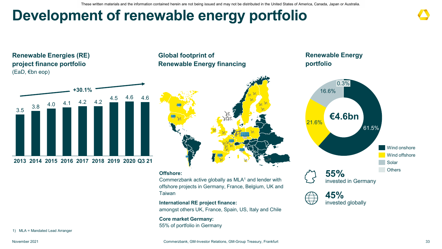### **Development of renewable energy portfolio**

**Renewable Energies (RE) project finance portfolio** (EaD, €bn eop)



#### **Global footprint of Renewable Energy financing**



#### **Offshore:**

Commerzbank active globally as  $MLA<sup>1</sup>$  and lender with offshore projects in Germany, France, Belgium, UK and Taiwan

**International RE project finance:**  amongst others UK, France, Spain, US, Italy and Chile

**Core market Germany:** 55% of portfolio in Germany

#### **Renewable Energy portfolio**





1) MLA = Mandated Lead Arranger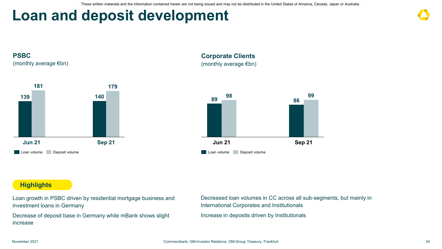### **Loan and deposit development**

**PSBC** (monthly average €bn)



#### **Corporate Clients**  (monthly average €bn)



#### **Highlights**

Loan growth in PSBC driven by residential mortgage business and investment loans in Germany

Decrease of deposit base in Germany while mBank shows slight increase

Decreased loan volumes in CC across all sub-segments, but mainly in International Corporates and Institutionals

Increase in deposits driven by Institutionals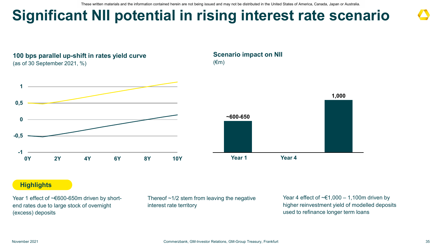# **Significant NII potential in rising interest rate scenario**







#### **Highlights**

Year 1 effect of ~€600-650m driven by shortend rates due to large stock of overnight (excess) deposits

Thereof ~1/2 stem from leaving the negative interest rate territory

Year 4 effect of  $\neg \in 1,000 - 1,100$ m driven by higher reinvestment yield of modelled deposits used to refinance longer term loans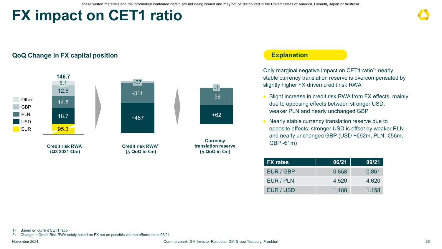# **FX impact on CET1 ratio**

#### **QoQ Change in FX capital position**



#### **Explanation**

Only marginal negative impact on CET1 ratio<sup>1</sup>: nearly stable currency translation reserve is overcompensated by slightly higher FX driven credit risk RWA

- Slight increase in credit risk RWA from FX effects, mainly due to opposing effects between stronger USD, weaker PLN and nearly unchanged GBP
- Nearly stable currency translation reserve due to opposite effects: stronger USD is offset by weaker PLN and nearly unchanged GBP (USD +€62m, PLN -€56m, GBP  $-€1m$ )

| <b>FX</b> rates | 06/21 | 09/21 |
|-----------------|-------|-------|
| EUR / GBP       | 0.858 | 0.861 |
| EUR / PLN       | 4.520 | 4.620 |
| EUR / USD       | 1 188 | 1 158 |

1) Based on current CET1 ratio

2) Change in Credit Risk RWA solely based on FX not on possible volume effects since 06/21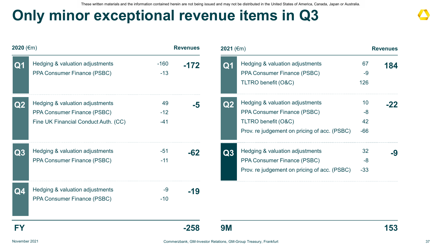# **Only minor exceptional revenue items in Q3**

| <b>2020</b> (€m) |                                                                                                        |                      | <b>Revenues</b> | 2021 (€m)      |                                                                                                                                       |                           | <b>Revenues</b> |
|------------------|--------------------------------------------------------------------------------------------------------|----------------------|-----------------|----------------|---------------------------------------------------------------------------------------------------------------------------------------|---------------------------|-----------------|
| Q <sub>1</sub>   | Hedging & valuation adjustments<br>PPA Consumer Finance (PSBC)                                         | $-160$<br>$-13$      | $-172$          | Q <sub>1</sub> | Hedging & valuation adjustments<br>PPA Consumer Finance (PSBC)<br>TLTRO benefit (O&C)                                                 | 67<br>$-9$<br>126         | 184             |
| Q2               | Hedging & valuation adjustments<br>PPA Consumer Finance (PSBC)<br>Fine UK Financial Conduct Auth. (CC) | 49<br>$-12$<br>$-41$ | $-5$            | Q2             | Hedging & valuation adjustments<br>PPA Consumer Finance (PSBC)<br>TLTRO benefit (O&C)<br>Prov. re judgement on pricing of acc. (PSBC) | 10<br>$-8$<br>42<br>$-66$ | $-22$           |
| Q3               | Hedging & valuation adjustments<br>PPA Consumer Finance (PSBC)                                         | $-51$<br>$-11$       | $-62$           | Q3             | Hedging & valuation adjustments<br>PPA Consumer Finance (PSBC)<br>Prov. re judgement on pricing of acc. (PSBC)                        | 32<br>$-8$<br>$-33$       | $-9$            |
| Q4               | Hedging & valuation adjustments<br>PPA Consumer Finance (PSBC)                                         | $-9$<br>$-10$        | $-19$           |                |                                                                                                                                       |                           |                 |
| <b>FY</b>        |                                                                                                        |                      | $-258$          | <b>9M</b>      |                                                                                                                                       |                           | 153             |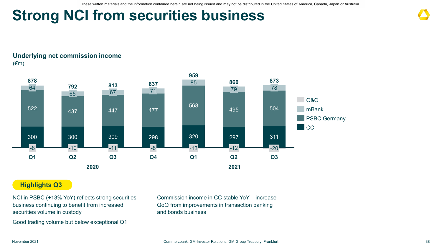### **Strong NCI from securities business**

#### **Underlying net commission income** (€m)



#### **Highlights Q3**

NCI in PSBC (+13% YoY) reflects strong securities business continuing to benefit from increased securities volume in custody

Good trading volume but below exceptional Q1

Commission income in CC stable YoY – increase QoQ from improvements in transaction banking and bonds business

November 2021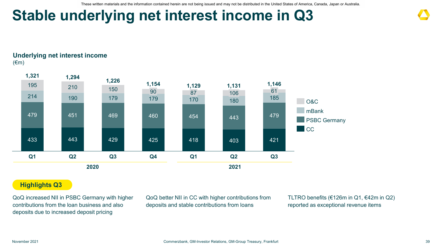# **Stable underlying net interest income in Q3**

#### **Underlying net interest income** (€m)



#### **Highlights Q3**

QoQ increased NII in PSBC Germany with higher contributions from the loan business and also deposits due to increased deposit pricing

QoQ better NII in CC with higher contributions from deposits and stable contributions from loans

TLTRO benefits (€126m in Q1, €42m in Q2) reported as exceptional revenue items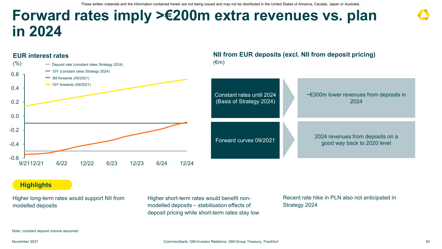### **Forward rates imply >€200m extra revenues vs. plan in 2024**



#### **Highlights**

Higher long-term rates would support NII from modelled deposits

Higher short-term rates would benefit nonmodelled deposits – stabilisation effects of deposit pricing while short-term rates stay low Recent rate hike in PLN also not anticipated in Strategy 2024

Note: constant deposit volume assumed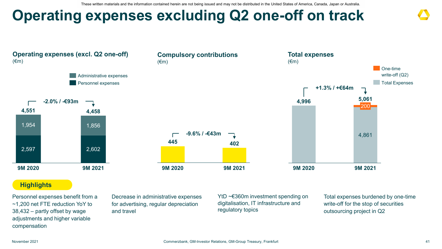# **Operating expenses excluding Q2 one-off on track**



#### **Highlights**

Personnel expenses benefit from a ~1,200 net FTE reduction YoY to 38,432 – partly offset by wage adjustments and higher variable compensation

Decrease in administrative expenses for advertising, regular depreciation and travel

YtD ~€360m investment spending on digitalisation, IT infrastructure and regulatory topics

Total expenses burdened by one-time write-off for the stop of securities outsourcing project in Q2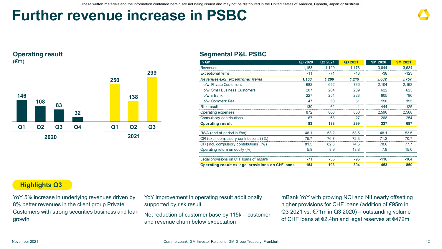### **Further revenue increase in PSBC**

### **Operating result**

(€m)

![](_page_42_Figure_5.jpeg)

#### **Segmental P&L PSBC**

| in $\epsilon$ m                                   | Q3 2020 | Q2 2021 | Q3 2021 | 9M 2020 | <b>9M 2021</b> |
|---------------------------------------------------|---------|---------|---------|---------|----------------|
| Revenues                                          | 1.153   | 1.129   | 1.176   | 3.644   | 3.634          |
| <b>Exceptional items</b>                          | $-11$   | $-71$   | $-43$   | $-38$   | $-123$         |
| Revenues excl. exceptional items                  | 1,163   | 1,200   | 1,219   | 3,682   | 3,757          |
| o/w Private Customers                             | 682     | 692     | 736     | 2.104   | 2.193          |
| o/w Small Business Customers                      | 207     | 204     | 209     | 622     | 623            |
| o/w mBank                                         | 227     | 254     | 223     | 805     | 786            |
| o/w Commerz Real                                  | 47      | 50      | 51      | 150     | 155            |
| Risk result                                       | -130    | $-62$   |         | -444    | $-125$         |
| Operating expenses                                | 872     | 866     | 850     | 2.596   | 2,568          |
| Compulsory contributions                          | 67      | 63      | 27      | 268     | 254            |
| <b>Operating result</b>                           | 83      | 138     | 299     | 337     | 687            |
| RWA (end of period in $\notin$ bn)                | 48.1    | 53.2    | 53.5    | 48.1    | 53.5           |
| CIR (excl. compulsory contributions) (%)          | 75.7    | 76.7    | 72.3    | 712     | 70.7           |
| $CR$ (incl. compulsory contributions) $(\%)$      | 81.5    | 82.3    | 74.6    | 78.6    | 77.7           |
| Operating return on equity (%)                    | 5.8     | 89      | 18.8    | 7.9     | 15.0           |
| Legal provisions on CHF loans of mBank            | $-71$   | $-55$   | $-95$   | $-116$  | $-164$         |
| Operating result ex legal provisions on CHF loans | 154     | 193     | 394     | 453     | 850            |

#### **Highlights Q3**

YoY 5% increase in underlying revenues driven by 8% better revenues in the client group Private Customers with strong securities business and loan growth

YoY improvement in operating result additionally supported by risk result

Net reduction of customer base by 115k – customer and revenue churn below expectation

mBank YoY with growing NCI and NII nearly offsetting higher provisions for CHF loans (addition of €95m in Q3 2021 vs. €71m in Q3 2020) – outstanding volume of CHF loans at €2.4bn and legal reserves at €472m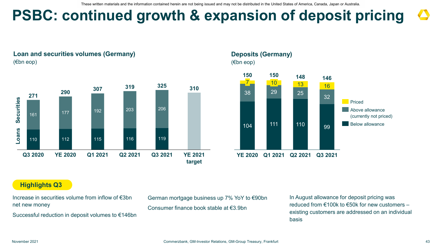### **PSBC: continued growth & expansion of deposit pricing**

![](_page_43_Figure_2.jpeg)

### **Deposits (Germany)**

(€bn eop)

![](_page_43_Figure_5.jpeg)

#### **Highlights Q3**

Increase in securities volume from inflow of €3bn net new money

**Loan and securities volumes (Germany)** 

Successful reduction in deposit volumes to €146bn

German mortgage business up 7% YoY to €90bn Consumer finance book stable at €3.9bn

In August allowance for deposit pricing was reduced from €100k to €50k for new customers – existing customers are addressed on an individual basis

(€bn eop)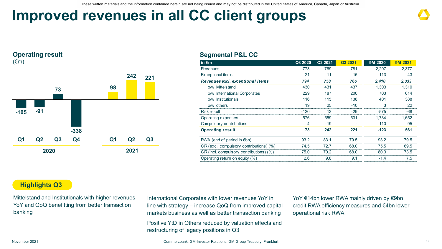### **Improved revenues in all CC client groups**

#### **Operating result** (€m)

![](_page_44_Figure_4.jpeg)

#### **Segmental P&L CC**

| in $\epsilon$ m                          | Q3 2020 | Q2 2021 | Q3 2021 | 9M 2020 | <b>9M 2021</b> |
|------------------------------------------|---------|---------|---------|---------|----------------|
| <b>Revenues</b>                          | 773     | 769     | 781     | 2.297   | 2.377          |
| Exceptional items                        | $-21$   | 11      | 15      | $-113$  | 43             |
| Revenues excl. exceptional items         | 794     | 758     | 766     | 2,410   | 2,333          |
| o/w Mittelstand                          | 430     | 431     | 437     | 1.303   | 1.310          |
| o/w International Corporates             | 229     | 187     | 200     | 703     | 614            |
| o/w Institutionals                       | 116     | 115     | 138     | 401     | 388            |
| o/w others                               | 19      | 25      | $-10$   | 3       | 22             |
| Risk result                              | $-120$  | 13      | $-29$   | $-575$  | -68            |
| Operating expenses                       | 576     | 559     | 531     | 1.734   | 1.652          |
| Compulsory contributions                 | 4       | $-19$   |         | 110     | 95             |
| <b>Operating result</b>                  | 73      | 242     | 221     | $-123$  | 561            |
| RWA (end of period in $\notin$ bn)       | 93.2    | 83.1    | 79.5    | 93.2    | 79.5           |
| CIR (excl. compulsory contributions) (%) | 74.5    | 72.7    | 68.0    | 75.5    | 69.5           |
| CIR (incl. compulsory contributions) (%) | 75.0    | 70.2    | 68.0    | 80.3    | 73.5           |
| Operating return on equity (%)           | 2.6     | 9.8     | 9.1     | -1.4    | 7.5            |

#### **Highlights Q3**

Mittelstand and Institutionals with higher revenues YoY and QoQ benefitting from better transaction banking

International Corporates with lower revenues YoY in line with strategy – increase QoQ from improved capital markets business as well as better transaction banking

Positive YtD in Others reduced by valuation effects and restructuring of legacy positions in Q3

YoY €14bn lower RWA mainly driven by €9bn credit RWA efficiency measures and €4bn lower operational risk RWA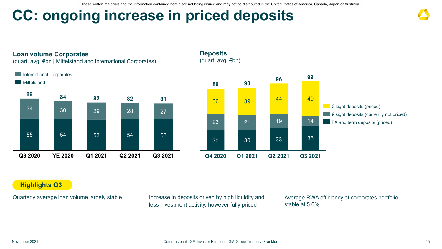# **CC: ongoing increase in priced deposits**

#### **Loan volume Corporates**

(quart. avg. €bn | Mittelstand and International Corporates)

![](_page_45_Figure_5.jpeg)

#### **Deposits** (quart. avg. €bn)

![](_page_45_Figure_7.jpeg)

#### **Highlights Q3**

Quarterly average loan volume largely stable Increase in deposits driven by high liquidity and less investment activity, however fully priced

Average RWA efficiency of corporates portfolio stable at 5.0%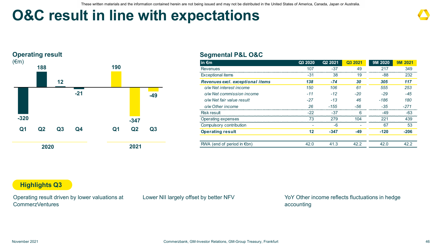### **O&C result in line with expectations**

#### **Operating result**

![](_page_46_Figure_4.jpeg)

#### **Segmental P&L O&C**

| $\ln \epsilon$ m                   | Q3 2020 | Q2 2021 | Q3 2021 | 9M 2020 | 9M<br>2021 |
|------------------------------------|---------|---------|---------|---------|------------|
| Revenues                           | 107     | $-37$   | 49      | 217     | 349        |
| <b>Exceptional items</b>           | $-31$   | 38      | 19      | -88     | 232        |
| Revenues excl. exceptional items   | 138     | $-74$   | 30      | 305     | 117        |
| o/w Net interest income            | 150     | 106     | 61      | 555     | 253        |
| o/w Net commission income          | $-11$   | $-12$   | $-20$   | $-29$   | $-45$      |
| o/w Net fair value result          | $-27$   | $-13$   | 46      | $-186$  | 180        |
| o/w Other income                   | 26      | $-155$  | -56     | $-35$   | -271       |
| Risk result                        | $-22$   | -37     | 6       | -49     | -63        |
| Operating expenses                 | 73      | 279     | 104     | 221     | 439        |
| Compulsory contribution            |         | -6      |         | 67      | 53         |
| <b>Operating result</b>            | $12 \,$ | $-347$  | $-49$   | $-120$  | $-206$     |
| RWA (end of period in $\notin$ bn) | 42.0    | 41.3    | 42.2    | 42.0    | 42.2       |

#### **Highlights Q3**

Operating result driven by lower valuations at CommerzVentures

Lower NII largely offset by better NFV YoY Other income reflects fluctuations in hedge accounting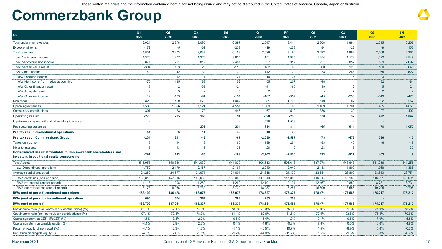### **Commerzbank Group**

| €m                                                                                                            | Q <sub>1</sub><br>2020 | Q2<br>2020     | Q3<br>2020   | <b>9M</b><br>2020 | Q4<br>2020     | FY<br>2020 | Q1<br>2021     | Q2<br>2021     | Q3<br>2021      | 9M<br>2021      |
|---------------------------------------------------------------------------------------------------------------|------------------------|----------------|--------------|-------------------|----------------|------------|----------------|----------------|-----------------|-----------------|
| Total underlying revenues                                                                                     | 2,024                  | 2,278          | 2,095        | 6,397             | 2,047          | 8,444      | 2,308          | 1,884          | 2,015           | 6,207           |
| <b>Exceptional items</b>                                                                                      | $-172$                 | $-5$           | $-62$        | $-239$            | $-19$          | $-258$     | 184            | $-22$          | $-9$            | 153             |
| <b>Total revenues</b>                                                                                         | 1,851                  | 2,273          | 2,033        | 6,158             | 2,029          | 8,186      | 2,492          | 1,862          | 2,006           | 6,360           |
| o/w Net interest income                                                                                       | 1,320                  | 1,277          | 1,226        | 3,824             | 1,151          | 4,975      | 1,254          | 1,173          | 1,122           | 3,549           |
| o/w Net commission income                                                                                     | 877                    | 791            | 812          | 2.481             | 837            | 3,317      | 951            | 852            | 889             | 2,692           |
| o/w Net fair value result                                                                                     | $-304$                 | 163            | 25           | $-116$            | 182            | 66         | 360            | 125            | 160             | 645             |
| o/w Other income                                                                                              | $-42$                  | 42             | $-30$        | $-30$             | $-142$         | $-172$     | $-73$          | $-288$         | $-165$          | $-527$          |
| o/w Dividend income                                                                                           | $\overline{2}$         | 12             | 14           | 27                | 10             | 37         | $\overline{1}$ | 6              | $\overline{3}$  | 10 <sup>°</sup> |
| o/w Net income from hedge accounting                                                                          | $-70$                  | 135            | 88           | 152               | 55             | 207        | $-48$          | $-4$           | $-32$           | $-84$           |
| o/w Other financial result                                                                                    | 13                     | $\overline{2}$ | $-39$        | $-24$             | $-41$          | $-65$      | 19             | $-2$           | $5\overline{5}$ | 21              |
| o/w At equity result                                                                                          | $\overline{2}$         | $\overline{3}$ | $\sim$       | 5                 | $\overline{2}$ | 6          |                | $\overline{2}$ | $\overline{2}$  | $\overline{4}$  |
| o/w Other net income                                                                                          | 12                     | $-109$         | $-94$        | $-191$            | $-167$         | $-357$     | $-45$          | $-290$         | $-143$          | $-478$          |
| <b>Risk result</b>                                                                                            | $-326$                 | $-469$         | $-272$       | $-1,067$          | $-681$         | $-1,748$   | $-149$         | $-87$          | $-22$           | $-257$          |
| Operating expenses                                                                                            | 1,503                  | 1,526          | 1,521        | 4,551             | 1,609          | 6,160      | 1,469          | 1,704          | 1,485           | 4,658           |
| Compulsory contributions                                                                                      | 301                    | 73             | 72           | 445               | 67             | 512        | 336            | 39             | 27              | 402             |
| <b>Operating result</b>                                                                                       | $-278$                 | 205            | 168          | 94                | $-328$         | $-233$     | 538            | 32             | 472             | 1,042           |
| Impairments on goodwill and other intangible assets                                                           | $\sim$                 | $\sim$         | ×            |                   | 1,578          | 1,578      | $\sim$         | $\sim$         | $\blacksquare$  |                 |
| Restructuring expenses                                                                                        |                        | ٠              | 201          | 201               | 614            | 814        | 465            | 511            | 76              | 1,052           |
| Pre-tax result discontinued operations                                                                        | 44                     | 6              | $-11$        | 40                | $-10$          | 30         | $\sim$         | . н.           | ٠               |                 |
| Pre-tax result Commerzbank Group                                                                              | $-234$                 | 211            | $-43$        | $-67$             | $-2,530$       | $-2,597$   | 73             | $-478$         | 396             | $-10$           |
| Taxes on income                                                                                               | 48                     | 14             | $\mathbf{3}$ | 65                | 199            | 264        | $-83$          | 40             | $-6$            | $-49$           |
| Minority Interests                                                                                            | 8                      | 13             | 15           | 36                | $-26$          | q          | 23             | 8              | $-1$            | 30              |
| Consolidated Result attributable to Commerzbank shareholders and<br>investors in additional equity components | $-291$                 | 183            | $-60$        | $-168$            | $-2,702$       | $-2,870$   | 133            | $-527$         | 403             | 9               |
| <b>Total Assets</b>                                                                                           | 516,958                | 550,366        | 544,030      | 544,030           | 506,613        | 506,613    | 537,778        | 543,643        | 541,258         | 541,258         |
| o/w Discontinued operations                                                                                   | 4,752                  | 2,179          | 2,167        | 2,167             | 2,040          | 2,040      | 2,143          | 1,809          | 1,368           | 1,368           |
| Average capital employed                                                                                      | 24,269                 | 24,577         | 24,974       | 24,601            | 24,318         | 24,499     | 23,684         | 23,800         | 23,813          | 23,751          |
| RWA credit risk (end of period)                                                                               | 153,812                | 157,215        | 153,082      | 153,082           | 147,849        | 147,849    | 149,314        | 148,183        | 146,691         | 146,691         |
| RWA market risk (end of period)                                                                               | 11,113                 | 11,208         | 11,260       | 11,260            | 12,191         | 12,191     | 12,467         | 10,850         | 8,731           | 8,731           |
| RWA operational risk (end of period)                                                                          | 18,178                 | 18,056         | 18,732       | 18,732            | 18,287         | 18,287     | 16,690         | 18,555         | 19,795          | 19,795          |
| RWA (end of period) continued operations                                                                      | 183,102                | 186,478        | 183,073      | 183,073           | 178,327        | 178,327    | 178,471        | 177,588        | 175,217         | 175,217         |
| RWA (end of period) discontinued operations                                                                   | 690                    | 574            | 263          | 263               | 253            | 253        |                |                |                 |                 |
| RWA (end of period)                                                                                           | 183,792                | 187,051        | 183,337      | 183,337           | 178,581        | 178,581    | 178,471        | 177,588        | 175,217         | 175,217         |
| Cost/income ratio (excl. compulsory contributions) (%)                                                        | 81.2%                  | 67.1%          | 74.8%        | 73.9%             | 79.3%          | 75.2%      | 59.0%          | 91.5%          | 74.0%           | 73.2%           |
| Cost/income ratio (incl. compulsory contributions) (%)                                                        | 97.4%                  | 70.4%          | 78.3%        | 81.1%             | 82.6%          | 81.5%      | 72.5%          | 93.6%          | 75.4%           | 79.6%           |
| Operating return on CET1 (RoCET) (%)                                                                          | $-4.6%$                | 3.3%           | 2.7%         | 0.5%              | $-5.4%$        | $-1.0%$    | 9.1%           | 0.5%           | 7.9%            | 5.8%            |
| Operating return on tangible equity (%)                                                                       | $-4.1%$                | 2.9%           | 2.3%         | 0.4%              | $-4.6%$        | $-0.8%$    | 7.8%           | 0.5%           | 6.6%            | 4.9%            |
| Return on equity of net result (%)                                                                            | $-4.4%$                | 2.3%           | $-1.3%$      | $-1.1%$           | $-40.5%$       | $-10.7%$   | 1.5%           | $-8.9%$        | 5.6%            | $-0.7%$         |
| Net return on tangible equity (%)                                                                             | $-4.8%$                | 2.6%           | $-1.5%$      | $-1.2%$           | $-44.0%$       | $-11.7%$   | 1.5%           | $-9.3%$        | 5.8%            | $-0.7%$         |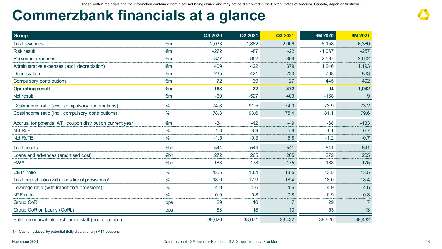### **Commerzbank financials at a glance**

| Group                                                           |               | Q3 2020 | Q2 2021 | Q3 2021 | 9M 2020  | <b>9M 2021</b> |
|-----------------------------------------------------------------|---------------|---------|---------|---------|----------|----------------|
| <b>Total revenues</b>                                           | €m            | 2,033   | 1,862   | 2,006   | 6,158    | 6,360          |
| <b>Risk result</b>                                              | €m            | $-272$  | $-87$   | $-22$   | $-1,067$ | $-257$         |
| Personnel expenses                                              | €m            | 877     | 862     | 886     | 2,597    | 2,602          |
| Administrative expenses (excl. depreciation)                    | €m            | 409     | 422     | 379     | 1,246    | 1,193          |
| Depreciation                                                    | €m            | 235     | 421     | 220     | 708      | 863            |
| Compulsory contributions                                        | €m            | 72      | 39      | 27      | 445      | 402            |
| <b>Operating result</b>                                         | €m            | 168     | 32      | 472     | 94       | 1,042          |
| Net result                                                      | €m            | $-60$   | $-527$  | 403     | $-168$   | 9              |
| Cost/income ratio (excl. compulsory contributions)              | $\frac{0}{0}$ | 74.8    | 91.5    | 74.0    | 73.9     | 73.2           |
| Cost/income ratio (incl. compulsory contributions)              | $\frac{0}{0}$ | 78.3    | 93.6    | 75.4    | 81.1     | 79.6           |
| Accrual for potential AT1 coupon distribution current year      | €m            | $-34$   | $-42$   | $-49$   | $-68$    | $-133$         |
| Net RoE                                                         | $\frac{0}{0}$ | $-1.3$  | $-8.9$  | 5.6     | $-1.1$   | $-0.7$         |
| Net RoTE                                                        | $\%$          | $-1.5$  | $-9.3$  | 5.8     | $-1.2$   | $-0.7$         |
| <b>Total assets</b>                                             | €bn           | 544     | 544     | 541     | 544      | 541            |
| Loans and advances (amortised cost)                             | €bn           | 272     | 265     | 265     | 272      | 265            |
| <b>RWA</b>                                                      | €bn           | 183     | 178     | 175     | 183      | 175            |
| CET1 ratio <sup>1</sup>                                         | $\frac{0}{0}$ | 13.5    | 13.4    | 13.5    | 13.5     | 13.5           |
| Total capital ratio (with transitional provisions) <sup>1</sup> | $\frac{0}{0}$ | 18.0    | 17.9    | 18.4    | 18.0     | 18.4           |
| Leverage ratio (with transitional provisions) <sup>1</sup>      | $\frac{0}{0}$ | 4.9     | 4.6     | 4.6     | 4.9      | 4.6            |
| NPE ratio                                                       | $\frac{0}{0}$ | 0.9     | 0.8     | 0.8     | 0.9      | 0.8            |
| <b>Group CoR</b>                                                | bps           | 29      | 10      | 7       | 29       | $\overline{7}$ |
| Group CoR on Loans (CoRL)                                       | bps           | 53      | 18      | 13      | 53       | 13             |
| Full-time equivalents excl. junior staff (end of period)        |               | 39,626  | 38,671  | 38,432  | 39,626   | 38,432         |

1) Capital reduced by potential (fully discretionary) AT1 coupons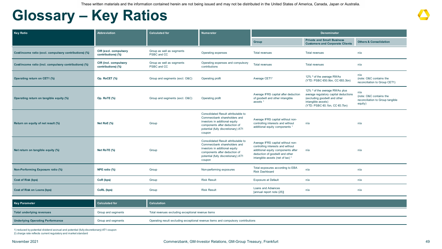# **Glossary – Key Ratios**

| <b>Key Ratio</b>                                       | <b>Abbreviation</b>                         |                                          | <b>Calculated for</b><br><b>Numerator</b>                                                                                                                                               |                                                                                                                                                                                                | Denominator                                                                                                                                                                          |                                                                               |  |  |
|--------------------------------------------------------|---------------------------------------------|------------------------------------------|-----------------------------------------------------------------------------------------------------------------------------------------------------------------------------------------|------------------------------------------------------------------------------------------------------------------------------------------------------------------------------------------------|--------------------------------------------------------------------------------------------------------------------------------------------------------------------------------------|-------------------------------------------------------------------------------|--|--|
|                                                        |                                             |                                          |                                                                                                                                                                                         | <b>Group</b>                                                                                                                                                                                   | <b>Private and Small Business</b><br><b>Customers and Corporate Clients</b>                                                                                                          | <b>Others &amp; Consolidation</b>                                             |  |  |
| Cost/income ratio (excl. compulsory contributions) (%) | CIR (excl. compulsory<br>contributions) (%) | Group as well as segments<br>PSBC and CC | Operating expenses                                                                                                                                                                      | <b>Total revenues</b>                                                                                                                                                                          | <b>Total revenues</b>                                                                                                                                                                | n/a                                                                           |  |  |
| Cost/income ratio (incl. compulsory contributions) (%) | CIR (incl. compulsory<br>contributions) (%) | Group as well as segments<br>PSBC and CC | Operating expenses and compulsory<br>contributions                                                                                                                                      | <b>Total revenues</b>                                                                                                                                                                          | <b>Total revenues</b>                                                                                                                                                                | n/a                                                                           |  |  |
| Operating return on CET1 (%)                           | Op. RoCET (%)                               | Group and segments (excl. O&C)           | Operating profit                                                                                                                                                                        | Average CET11                                                                                                                                                                                  | 12% <sup>2</sup> of the average RWAs<br>(YTD: PSBC €50.9bn, CC €83.3bn)                                                                                                              | n/a<br>(note: O&C contains the<br>reconciliation to Group CET1)               |  |  |
| Operating return on tangible equity (%)                | <b>Op. RoTE (%)</b>                         | Group and segments (excl. O&C)           | Operating profit                                                                                                                                                                        | Average IFRS capital after deduction<br>of goodwill and other intangible<br>assets <sup>1</sup>                                                                                                | 12% <sup>2</sup> of the average RWAs plus<br>average regulatory capital deductions<br>(excluding goodwill and other<br>intangible assets)<br>(YTD: PSBC $\in$ 0.1bn, CC $\in$ 0.7bn) | n/a<br>(note: O&C contains the<br>reconciliation to Group tangible<br>equity) |  |  |
| Return on equity of net result (%)                     | Net RoE (%)                                 | Group                                    | Consolidated Result attributable to<br>Commerzbank shareholders and<br>investors in additional equity<br>components after deduction of<br>potential (fully discretionary) AT1<br>coupon | Average IFRS capital without non-<br>controlling interests and without<br>additional equity components <sup>1</sup>                                                                            | n/a                                                                                                                                                                                  | n/a                                                                           |  |  |
| Net return on tangible equity (%)                      | Net RoTE (%)                                | Group                                    | Consolidated Result attributable to<br>Commerzbank shareholders and<br>investors in additional equity<br>components after deduction of<br>potential (fully discretionary) AT1<br>coupon | Average IFRS capital without non-<br>controlling interests and without<br>additional equity components after<br>deduction of goodwill and other<br>intangible assets (net of tax) <sup>1</sup> | n/a                                                                                                                                                                                  | n/a                                                                           |  |  |
| Non-Performing Exposure ratio (%)                      | NPE ratio (%)                               | Group                                    | Non-performing exposures                                                                                                                                                                | Total exposures according to EBA<br><b>Risk Dashboard</b>                                                                                                                                      | n/a                                                                                                                                                                                  | n/a                                                                           |  |  |
| <b>Cost of Risk (bps)</b>                              | CoR (bps)                                   | Group                                    | <b>Risk Result</b>                                                                                                                                                                      | <b>Exposure at Default</b>                                                                                                                                                                     | n/a                                                                                                                                                                                  | n/a                                                                           |  |  |
| Cost of Risk on Loans (bps)                            | CoRL (bps)                                  | Group                                    | <b>Risk Result</b>                                                                                                                                                                      | Loans and Advances<br>[annual report note (25)]                                                                                                                                                | n/a                                                                                                                                                                                  | n/a                                                                           |  |  |
|                                                        |                                             |                                          |                                                                                                                                                                                         |                                                                                                                                                                                                |                                                                                                                                                                                      |                                                                               |  |  |

| <b>Key Parameter</b>                    | <b>Calculated for</b> | Calculation                                                                       |
|-----------------------------------------|-----------------------|-----------------------------------------------------------------------------------|
| Total underlying revenues               | Group and segments    | Total revenues excluding exceptional revenue items                                |
| <b>Underlying Operating Performance</b> | Group and segments    | Operating result excluding exceptional revenue items and compulsory contributions |

1) reduced by potential dividend accrual and potential (fully discretionary) AT1 coupon 2) charge rate reflects current regulatory and market standard